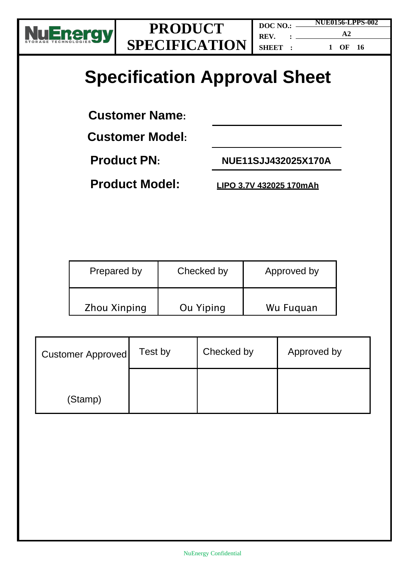

**DOC NO.: REV. : SHEET : NUE0156-LPPS-002 A2 1 OF 16**

# **Specification Approval Sheet**

**Customer Name:** 

**Customer Model:**

**Product PN: NUE11SJJ432025X170A**

**Product Model: LIPO 3.7V 432025 170mAh**

| Prepared by         | Checked by | Approved by |
|---------------------|------------|-------------|
| <b>Zhou Xinping</b> | Ou Yiping  | Wu Fuquan   |

| <b>Customer Approved</b> | Test by | Checked by | Approved by |
|--------------------------|---------|------------|-------------|
| (Stamp)                  |         |            |             |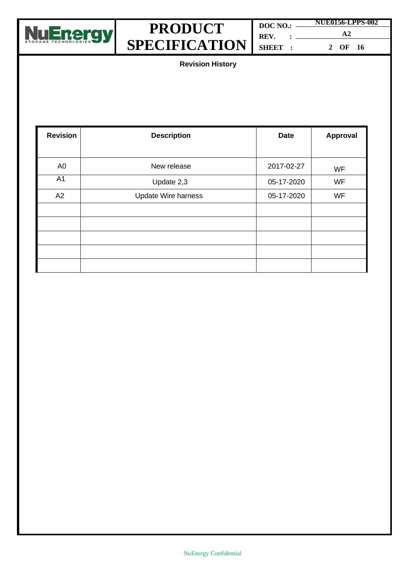

|         | <b>NUE0156-LPPS-002</b> |  |  |
|---------|-------------------------|--|--|
| REV.    | $\mathbf{A}2$           |  |  |
| SHEET : | OF 16                   |  |  |
|         |                         |  |  |

**Revision History**

| <b>Revision</b> | <b>Description</b>         | <b>Date</b> |           |
|-----------------|----------------------------|-------------|-----------|
|                 |                            |             |           |
| A <sub>0</sub>  | New release                | 2017-02-27  | <b>WF</b> |
| A <sub>1</sub>  | Update 2,3                 | 05-17-2020  | <b>WF</b> |
| A2              | <b>Update Wire harness</b> | 05-17-2020  | <b>WF</b> |
|                 |                            |             |           |
|                 |                            |             |           |
|                 |                            |             |           |
|                 |                            |             |           |
|                 |                            |             |           |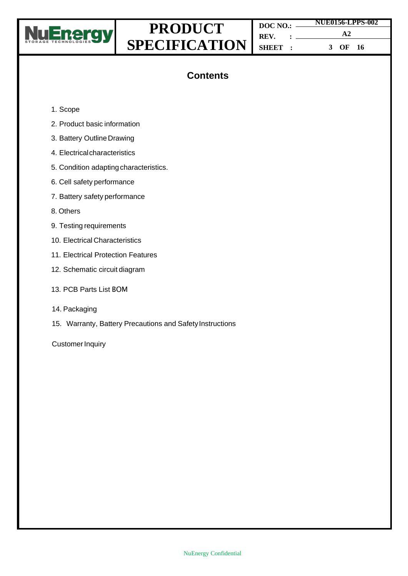

| $DOC NO.: \_\_$ | <b>NUE0156-LPPS-002</b> |  |  |
|-----------------|-------------------------|--|--|
| REV. :          | $\mathbf{A} \mathbf{2}$ |  |  |
| SHEET :         | OF 16                   |  |  |

### **Contents**

- 1. Scope
- 2. Product basic information
- 3. Battery Outline Drawing
- 4. Electrical characteristics
- 5. Condition adapting characteristics.
- 6. Cell safety performance
- 7. Battery safety performance
- 8. Others
- 9. Testing requirements
- 10. Electrical Characteristics
- 11. Electrical Protection Features
- 12. Schematic circuit diagram
- 13. PCB Parts List BOM
- 14. Packaging
- 15. Warranty, Battery Precautions and Safety Instructions

**Customer Inquiry**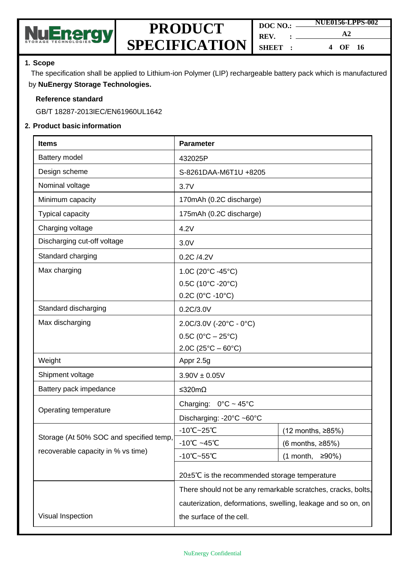

| DOC NO.: | <b>NUE0156-LPPS-002</b> |  |
|----------|-------------------------|--|
| REV.     | A2                      |  |
| SHEET :  | OF 16<br>4              |  |

#### **1. Scope**

The specification shall be applied to Lithium-ion Polymer (LIP) rechargeable battery pack which is manufactured by **NuEnergy Storage Technologies.**

#### **Reference standard**

GB/T 18287-2013IEC/EN61960UL1642

#### **2. Product basic information**

| <b>Items</b>                            | <b>Parameter</b>                                             |                           |  |
|-----------------------------------------|--------------------------------------------------------------|---------------------------|--|
| Battery model                           | 432025P                                                      |                           |  |
| Design scheme                           | S-8261DAA-M6T1U +8205                                        |                           |  |
| Nominal voltage                         | 3.7V                                                         |                           |  |
| Minimum capacity                        | 170mAh (0.2C discharge)                                      |                           |  |
| <b>Typical capacity</b>                 | 175mAh (0.2C discharge)                                      |                           |  |
| Charging voltage                        | 4.2V                                                         |                           |  |
| Discharging cut-off voltage             | 3.0V                                                         |                           |  |
| Standard charging                       | 0.2C /4.2V                                                   |                           |  |
| Max charging                            | 1.0C (20°C -45°C)                                            |                           |  |
|                                         | 0.5C (10°C -20°C)                                            |                           |  |
|                                         | $0.2C$ (0°C -10°C)                                           |                           |  |
| Standard discharging                    | 0.2C/3.0V                                                    |                           |  |
| Max discharging                         | 2.0C/3.0V (-20°C - 0°C)                                      |                           |  |
|                                         | $0.5C (0^{\circ}C - 25^{\circ}C)$                            |                           |  |
|                                         | $2.0C(25^{\circ}C - 60^{\circ}C)$                            |                           |  |
| Weight                                  | Appr 2.5g                                                    |                           |  |
| Shipment voltage                        | $3.90V \pm 0.05V$                                            |                           |  |
| Battery pack impedance                  | ≤320mΩ                                                       |                           |  |
| Operating temperature                   | Charging: $0^{\circ}$ C ~ 45°C                               |                           |  |
|                                         | Discharging: -20°C ~60°C                                     |                           |  |
|                                         | $-10^{\circ}$ C $-25^{\circ}$ C                              | (12 months, ≥85%)         |  |
| Storage (At 50% SOC and specified temp, | 10°C ~45°C                                                   | $(6$ months, $\geq 85\%)$ |  |
| recoverable capacity in % vs time)      | -10°C~55°C                                                   | ≥90%)<br>(1 month,        |  |
|                                         | 20±5℃ is the recommended storage temperature                 |                           |  |
|                                         | There should not be any remarkable scratches, cracks, bolts, |                           |  |
|                                         | cauterization, deformations, swelling, leakage and so on, on |                           |  |
|                                         |                                                              |                           |  |
| Visual Inspection                       | the surface of the cell.                                     |                           |  |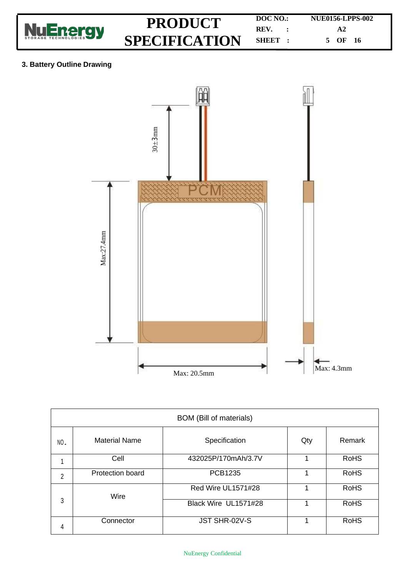

#### **3. Battery Outline Drawing**



| <b>BOM</b> (Bill of materials) |                         |                      |        |             |
|--------------------------------|-------------------------|----------------------|--------|-------------|
| NO.                            | <b>Material Name</b>    | Qty                  | Remark |             |
| 1                              | Cell                    | 432025P/170mAh/3.7V  |        | <b>RoHS</b> |
| 2                              | <b>Protection board</b> | <b>PCB1235</b>       |        | <b>RoHS</b> |
|                                | Wire                    | Red Wire UL1571#28   |        | <b>RoHS</b> |
| 3                              |                         | Black Wire UL1571#28 |        | <b>RoHS</b> |
| 4                              | Connector               | JST SHR-02V-S        |        | <b>RoHS</b> |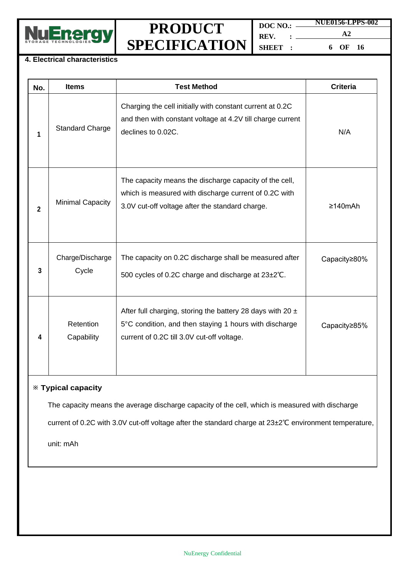

**DOC NO.: REV. : SHEET : NUE0156-LPPS-002 A2 6 OF 16**

#### **4. Electrical characteristics**

| No.          | <b>Items</b>              | <b>Test Method</b>                                                                                                                                                     | <b>Criteria</b> |
|--------------|---------------------------|------------------------------------------------------------------------------------------------------------------------------------------------------------------------|-----------------|
| 1            | <b>Standard Charge</b>    | Charging the cell initially with constant current at 0.2C<br>and then with constant voltage at 4.2V till charge current<br>declines to 0.02C.                          | N/A             |
| $\mathbf{2}$ | <b>Minimal Capacity</b>   | The capacity means the discharge capacity of the cell,<br>which is measured with discharge current of 0.2C with<br>3.0V cut-off voltage after the standard charge.     | $\geq 140$ mAh  |
| 3            | Charge/Discharge<br>Cycle | The capacity on 0.2C discharge shall be measured after<br>500 cycles of 0.2C charge and discharge at 23±2°C.                                                           | Capacity≥80%    |
|              | Retention<br>Capability   | After full charging, storing the battery 28 days with 20 $\pm$<br>5°C condition, and then staying 1 hours with discharge<br>current of 0.2C till 3.0V cut-off voltage. | Capacity≥85%    |

#### ※ **Typical capacity**

The capacity means the average discharge capacity of the cell, which is measured with discharge

current of 0.2C with 3.0V cut-off voltage after the standard charge at 23±2℃ environment temperature,

unit: mAh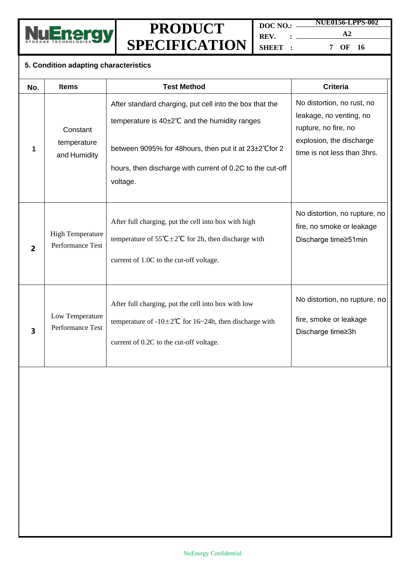

**DOC NO.: REV. : SHEET : NUE0156-LPPS-002 A2**

**7 OF 16**

### **5. Condition adapting characteristics**

| No.                     | <b>Items</b>                                | <b>Test Method</b>                                                                                                                                                                                                                           | <b>Criteria</b>                                                                                                                          |
|-------------------------|---------------------------------------------|----------------------------------------------------------------------------------------------------------------------------------------------------------------------------------------------------------------------------------------------|------------------------------------------------------------------------------------------------------------------------------------------|
| 1                       | Constant<br>temperature<br>and Humidity     | After standard charging, put cell into the box that the<br>temperature is 40±2°C and the humidity ranges<br>between 9095% for 48 hours, then put it at 23±2°C for 2<br>hours, then discharge with current of 0.2C to the cut-off<br>voltage. | No distortion, no rust, no<br>leakage, no venting, no<br>rupture, no fire, no<br>explosion, the discharge<br>time is not less than 3hrs. |
| $\overline{2}$          | <b>High Temperature</b><br>Performance Test | After full charging, put the cell into box with high<br>temperature of $55^{\circ}C \pm 2^{\circ}C$ for 2h, then discharge with<br>current of 1.0C to the cut-off voltage.                                                                   | No distortion, no rupture, no<br>fire, no smoke or leakage<br>Discharge time≥51min                                                       |
| $\overline{\mathbf{3}}$ | Low Temperature<br>Performance Test         | After full charging, put the cell into box with low<br>temperature of $-10\pm 2^{\circ}C$ for 16~24h, then discharge with<br>current of 0.2C to the cut-off voltage.                                                                         | No distortion, no rupture, no<br>fire, smoke or leakage<br>Discharge time≥3h                                                             |
|                         |                                             |                                                                                                                                                                                                                                              |                                                                                                                                          |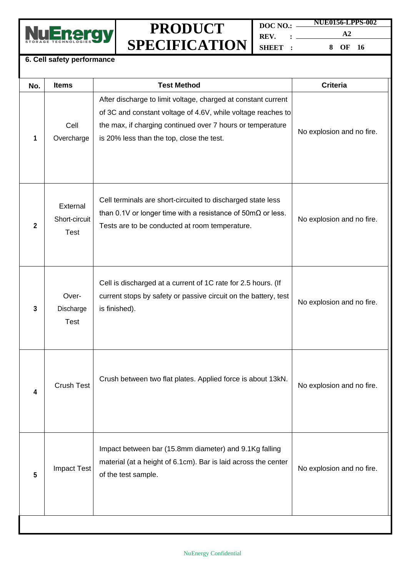

**DOC NO.: REV. : SHEET : NUE0156-LPPS-002 A2 8 OF 16**

#### **6. Cell safety performance**

| No.          | <b>Items</b>                             | <b>Test Method</b>                                                                                                                                                                                                                       | <b>Criteria</b>           |
|--------------|------------------------------------------|------------------------------------------------------------------------------------------------------------------------------------------------------------------------------------------------------------------------------------------|---------------------------|
| 1            | Cell<br>Overcharge                       | After discharge to limit voltage, charged at constant current<br>of 3C and constant voltage of 4.6V, while voltage reaches to<br>the max, if charging continued over 7 hours or temperature<br>is 20% less than the top, close the test. | No explosion and no fire. |
| $\mathbf{2}$ | External<br>Short-circuit<br><b>Test</b> | Cell terminals are short-circuited to discharged state less<br>than 0.1V or longer time with a resistance of $50 \text{m}\Omega$ or less.<br>Tests are to be conducted at room temperature.                                              | No explosion and no fire. |
| 3            | Over-<br>Discharge<br><b>Test</b>        | Cell is discharged at a current of 1C rate for 2.5 hours. (If<br>current stops by safety or passive circuit on the battery, test<br>is finished).                                                                                        | No explosion and no fire. |
| 4            | <b>Crush Test</b>                        | Crush between two flat plates. Applied force is about 13kN.                                                                                                                                                                              | No explosion and no fire. |
| 5            | <b>Impact Test</b>                       | Impact between bar (15.8mm diameter) and 9.1Kg falling<br>material (at a height of 6.1cm). Bar is laid across the center<br>of the test sample.                                                                                          | No explosion and no fire. |
|              |                                          |                                                                                                                                                                                                                                          |                           |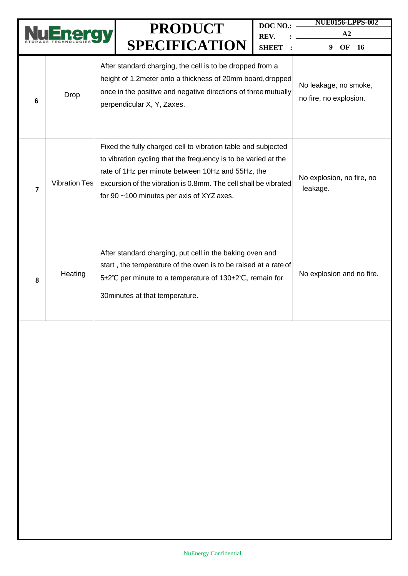|   |                      | <b>PRODUCT</b>                                                                                                                                                                                                                                                                                       | DOC NO.:             | <b>NUE0156-LPPS-002</b><br>A2                   |
|---|----------------------|------------------------------------------------------------------------------------------------------------------------------------------------------------------------------------------------------------------------------------------------------------------------------------------------------|----------------------|-------------------------------------------------|
|   |                      | <b>SPECIFICATION</b>                                                                                                                                                                                                                                                                                 | REV.<br><b>SHEET</b> | OF<br>9<br><b>16</b>                            |
| 6 | Drop                 | After standard charging, the cell is to be dropped from a<br>height of 1.2 meter onto a thickness of 20mm board, dropped<br>once in the positive and negative directions of three mutually<br>perpendicular X, Y, Zaxes.                                                                             |                      | No leakage, no smoke,<br>no fire, no explosion. |
| 7 | <b>Vibration Tes</b> | Fixed the fully charged cell to vibration table and subjected<br>to vibration cycling that the frequency is to be varied at the<br>rate of 1Hz per minute between 10Hz and 55Hz, the<br>excursion of the vibration is 0.8mm. The cell shall be vibrated<br>for 90 ~100 minutes per axis of XYZ axes. |                      | No explosion, no fire, no<br>leakage.           |
| 8 | Heating              | After standard charging, put cell in the baking oven and<br>start, the temperature of the oven is to be raised at a rate of<br>5±2℃ per minute to a temperature of 130±2℃, remain for<br>30 minutes at that temperature.                                                                             |                      | No explosion and no fire.                       |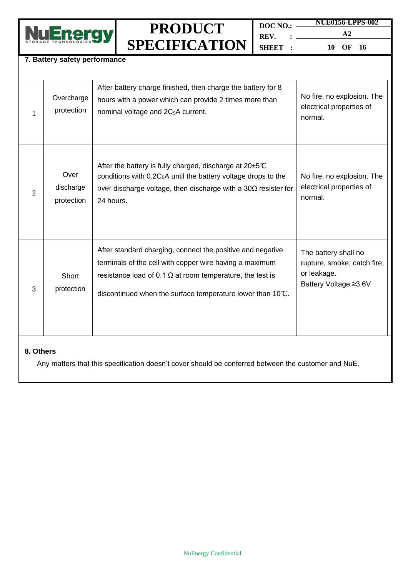

**DOC NO.: REV. : SHEET : NUE0156-LPPS-002 A2**

**10 OF 16**

#### **7. Battery safety performance**

|                | Overcharge<br>protection        | After battery charge finished, then charge the battery for 8<br>hours with a power which can provide 2 times more than<br>nominal voltage and 2C <sub>5</sub> A current.                                                                                | No fire, no explosion. The<br>electrical properties of<br>normal.                           |  |  |
|----------------|---------------------------------|---------------------------------------------------------------------------------------------------------------------------------------------------------------------------------------------------------------------------------------------------------|---------------------------------------------------------------------------------------------|--|--|
| $\overline{2}$ | Over<br>discharge<br>protection | After the battery is fully charged, discharge at 20±5°C<br>conditions with $0.2C_5A$ until the battery voltage drops to the<br>over discharge voltage, then discharge with a $30\Omega$ resister for<br>24 hours.                                       | No fire, no explosion. The<br>electrical properties of<br>normal.                           |  |  |
| 3              | Short<br>protection             | After standard charging, connect the positive and negative<br>terminals of the cell with copper wire having a maximum<br>resistance load of 0.1 $\Omega$ at room temperature, the test is<br>discontinued when the surface temperature lower than 10°C. | The battery shall no<br>rupture, smoke, catch fire,<br>or leakage.<br>Battery Voltage ≥3.6V |  |  |
| 8. Others      |                                 |                                                                                                                                                                                                                                                         |                                                                                             |  |  |

Any matters that this specification doesn't cover should be conferred between the customer and NuE.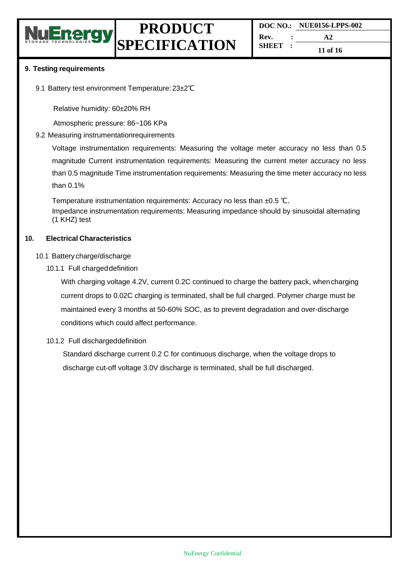

**DOC NO.: NUE0156-LPPS-002 Rev. : SHEET : A2 11 of 16**

#### **9. Testing requirements**

9.1 Battery test environment Temperature: 23±2℃

Relative humidity: 60±20% RH

Atmospheric pressure: 86~106 KPa

9.2 Measuring instrumentationrequirements

Voltage instrumentation requirements: Measuring the voltage meter accuracy no less than 0.5 magnitude Current instrumentation requirements: Measuring the current meter accuracy no less than 0.5 magnitude Time instrumentation requirements: Measuring the time meter accuracy no less than 0.1%

Temperature instrumentation requirements: Accuracy no less than ±0.5 ℃. Impedance instrumentation requirements: Measuring impedance should by sinusoidal alternating (1 KHZ) test

#### **10. Electrical Characteristics**

#### 10.1 Battery charge/discharge

10.1.1 Full chargeddefinition

With charging voltage 4.2V, current 0.2C continued to charge the battery pack, whencharging current drops to 0.02C charging is terminated, shall be full charged. Polymer charge must be maintained every 3 months at 50-60% SOC, as to prevent degradation and over-discharge conditions which could affect performance.

#### 10.1.2 Full dischargeddefinition

Standard discharge current 0.2 C for continuous discharge, when the voltage drops to discharge cut-off voltage 3.0V discharge is terminated, shall be full discharged.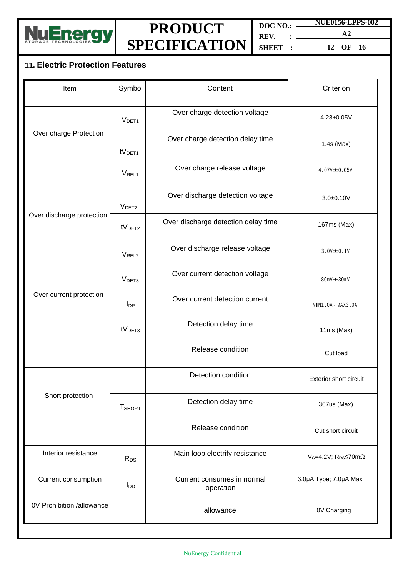

**DOC NO.:** — **REV. : SHEET : NUE0156-LPPS-002**

**A2 12 OF 16**

### **11. Electric Protection Features**

| Item                      | Symbol                 | Content                                 | Criterion                       |
|---------------------------|------------------------|-----------------------------------------|---------------------------------|
|                           | V <sub>DET1</sub>      | Over charge detection voltage           | 4.28±0.05V                      |
| Over charge Protection    | tV <sub>DET1</sub>     | Over charge detection delay time        | $1.4s$ (Max)                    |
|                           | V <sub>REL1</sub>      | Over charge release voltage             | 4.07V±0.05V                     |
|                           | V <sub>DET2</sub>      | Over discharge detection voltage        | $3.0 + 0.10V$                   |
| Over discharge protection | tV <sub>DET2</sub>     | Over discharge detection delay time     | 167ms (Max)                     |
|                           | V <sub>REL2</sub>      | Over discharge release voltage          | $3.0V = 0.1V$                   |
|                           | V <sub>DET3</sub>      | Over current detection voltage          | 80mV-630mV                      |
| Over current protection   | $I_{DP}$               | Over current detection current          | MIN1.0A-MAX3.0A                 |
|                           | tV <sub>DET3</sub>     | Detection delay time                    | 11ms (Max)                      |
|                           |                        | Release condition                       | Cut load                        |
|                           |                        | Detection condition                     | Exterior short circuit          |
| Short protection          | <b>T</b> SHORT         | Detection delay time                    | 367us (Max)                     |
|                           |                        | Release condition                       | Cut short circuit               |
| Interior resistance       | $R_{DS}$               | Main loop electrify resistance          | Vc=4.2V; $R_{DS}$ <70m $\Omega$ |
| Current consumption       | <b>I</b> <sub>DD</sub> | Current consumes in normal<br>operation | 3.0µA Type; 7.0µA Max           |
| 0V Prohibition /allowance |                        | allowance                               | 0V Charging                     |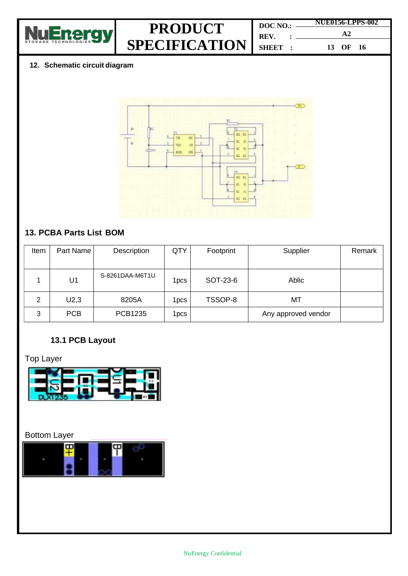

| DOC NO.:          |  | NUE0156-LPPS-002 |  |
|-------------------|--|------------------|--|
| $REV.$ : $\qquad$ |  | $\mathbf{A}2$    |  |
| SHEET:            |  | 13 OF 16         |  |

### **12. Schematic circuit diagram**



### **13. PCBA Parts List BOM**

| Item | Part Name      | Description     | QTY              | Footprint | Supplier            | Remark |
|------|----------------|-----------------|------------------|-----------|---------------------|--------|
|      |                |                 |                  |           |                     |        |
|      | U <sub>1</sub> | S-8261DAA-M6T1U | 1pcs             | SOT-23-6  | Ablic               |        |
| 2    | U2,3           | 8205A           | 1pcs             | TSSOP-8   | МT                  |        |
| 3    | <b>PCB</b>     | PCB1235         | 1 <sub>pcs</sub> |           | Any approved vendor |        |

### **13.1 PCB Layout**

### Top Layer



### Bottom Layer

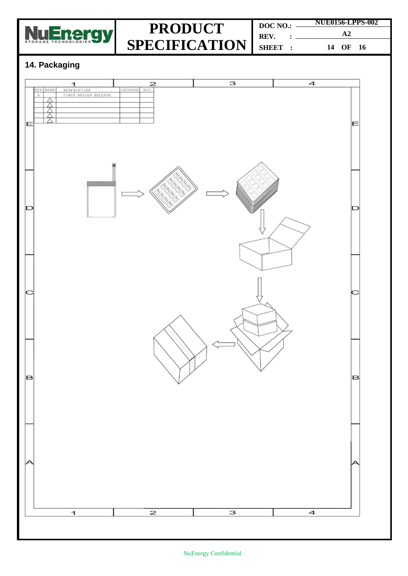

| DOC NO.:     | <b>NUE0156-LPPS-002</b> |  |
|--------------|-------------------------|--|
| $REV.$ : $=$ | $\mathbf{A}2$           |  |
| SHEET :      | 14 OF 16                |  |

### **14. Packaging**

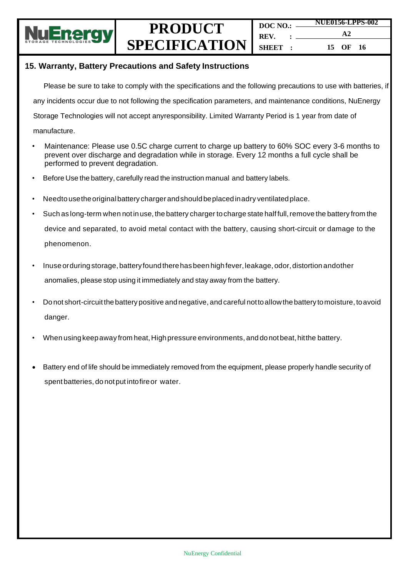

#### **15. Warranty, Battery Precautions and Safety Instructions**

Please be sure to take to comply with the specifications and the following precautions to use with batteries, if any incidents occur due to not following the specification parameters, and maintenance conditions, NuEnergy Storage Technologies will not accept anyresponsibility. Limited Warranty Period is 1 year from date of

manufacture.

- Maintenance: Please use 0.5C charge current to charge up battery to 60% SOC every 3-6 months to prevent over discharge and degradation while in storage. Every 12 months a full cycle shall be performed to prevent degradation.
- Before Use the battery, carefully read the instruction manual and battery labels.
- Needto use the original battery charger and should beplaced in adry ventilated place.
- Such as long-term when not in use, the battery charger to charge state half full, remove the battery from the device and separated, to avoid metal contact with the battery, causing short-circuit or damage to the phenomenon.
- Inuse orduring storage, battery found there has been high fever, leakage, odor, distortion andother anomalies, please stop using it immediately and stay away from the battery.
- Donot short-circuitthebattery positive andnegative, andcareful nottoallowthe battery tomoisture, toavoid danger.
- When usingkeepaway from heat,Highpressure environments, and donotbeat,hitthe battery.
- Battery end of life should be immediately removed from the equipment, please properly handle security of spent batteries, do notput intofireor water.